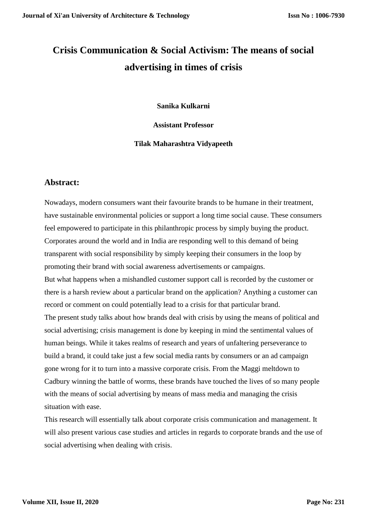# **Crisis Communication & Social Activism: The means of social advertising in times of crisis**

**Sanika Kulkarni**

**Assistant Professor**

**Tilak Maharashtra Vidyapeeth**

### **Abstract:**

Nowadays, modern consumers want their favourite brands to be humane in their treatment, have sustainable environmental policies or support a long time social cause. These consumers feel empowered to participate in this philanthropic process by simply buying the product. Corporates around the world and in India are responding well to this demand of being transparent with social responsibility by simply keeping their consumers in the loop by promoting their brand with social awareness advertisements or campaigns. But what happens when a mishandled customer support call is recorded by the customer or there is a harsh review about a particular brand on the application? Anything a customer can record or comment on could potentially lead to a crisis for that particular brand. The present study talks about how brands deal with crisis by using the means of political and social advertising; crisis management is done by keeping in mind the sentimental values of human beings. While it takes realms of research and years of unfaltering perseverance to build a brand, it could take just a few social media rants by consumers or an ad campaign gone wrong for it to turn into a massive corporate crisis. From the Maggi meltdown to Cadbury winning the battle of worms, these brands have touched the lives of so many people with the means of social advertising by means of mass media and managing the crisis situation with ease.

This research will essentially talk about corporate crisis communication and management. It will also present various case studies and articles in regards to corporate brands and the use of social advertising when dealing with crisis.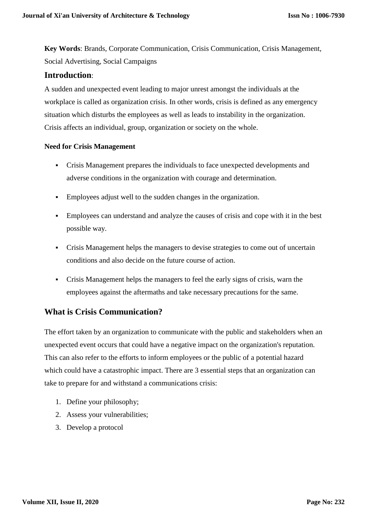**Key Words**: Brands, Corporate Communication, Crisis Communication, Crisis Management, Social Advertising, Social Campaigns

### **Introduction**:

A sudden and unexpected event leading to major unrest amongst the individuals at the workplace is called as organization crisis. In other words, crisis is defined as any emergency situation which disturbs the employees as well as leads to instability in the organization. Crisis affects an individual, group, organization or society on the whole.

### **Need for Crisis Management**

- Crisis Management prepares the individuals to face unexpected developments and adverse conditions in the organization with courage and determination.
- Employees adjust well to the sudden changes in the organization.
- Employees can understand and analyze the causes of crisis and cope with it in the best possible way.
- Crisis Management helps the managers to devise strategies to come out of uncertain conditions and also decide on the future course of action.
- Crisis Management helps the managers to feel the early signs of crisis, warn the employees against the aftermaths and take necessary precautions for the same.

### **What is Crisis Communication?**

The effort taken by an organization to communicate with the public and stakeholders when an unexpected event occurs that could have a negative impact on the organization's reputation. This can also refer to the efforts to inform employees or the public of a potential hazard which could have a catastrophic impact. There are 3 essential steps that an organization can take to prepare for and withstand a communications crisis:

- 1. Define your philosophy;
- 2. Assess your vulnerabilities;
- 3. Develop a protocol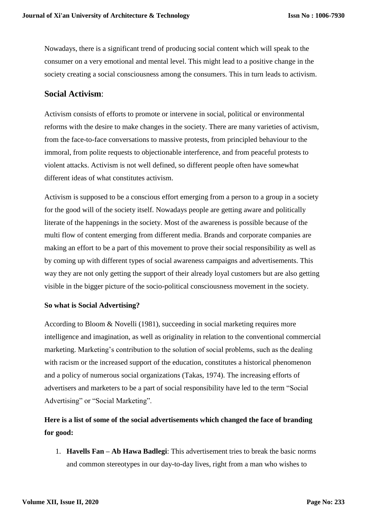Nowadays, there is a significant trend of producing social content which will speak to the consumer on a very emotional and mental level. This might lead to a positive change in the society creating a social consciousness among the consumers. This in turn leads to activism.

### **Social Activism**:

Activism consists of efforts to promote or intervene in social, political or environmental reforms with the desire to make changes in the society. There are many varieties of activism, from the face-to-face conversations to massive protests, from principled behaviour to the immoral, from polite requests to objectionable interference, and from peaceful protests to violent attacks. Activism is not well defined, so different people often have somewhat different ideas of what constitutes activism.

Activism is supposed to be a conscious effort emerging from a person to a group in a society for the good will of the society itself. Nowadays people are getting aware and politically literate of the happenings in the society. Most of the awareness is possible because of the multi flow of content emerging from different media. Brands and corporate companies are making an effort to be a part of this movement to prove their social responsibility as well as by coming up with different types of social awareness campaigns and advertisements. This way they are not only getting the support of their already loyal customers but are also getting visible in the bigger picture of the socio-political consciousness movement in the society.

### **So what is Social Advertising?**

According to Bloom & Novelli (1981), succeeding in social marketing requires more intelligence and imagination, as well as originality in relation to the conventional commercial marketing. Marketing's contribution to the solution of social problems, such as the dealing with racism or the increased support of the education, constitutes a historical phenomenon and a policy of numerous social organizations (Takas, 1974). The increasing efforts of advertisers and marketers to be a part of social responsibility have led to the term "Social Advertising" or "Social Marketing".

# **Here is a list of some of the social advertisements which changed the face of branding for good:**

1. **Havells Fan – Ab Hawa Badlegi**: This advertisement tries to break the basic norms and common stereotypes in our day-to-day lives, right from a man who wishes to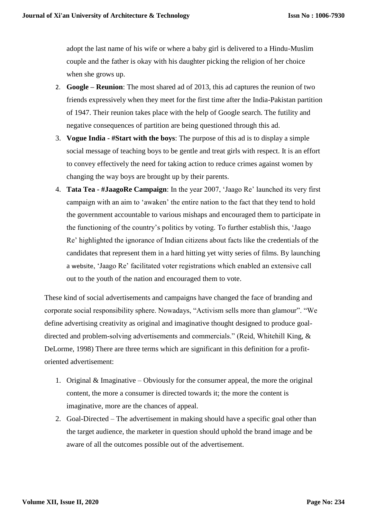adopt the last name of his wife or where a baby girl is delivered to a Hindu-Muslim couple and the father is okay with his daughter picking the religion of her choice when she grows up.

- 2. **Google – Reunion**: The most shared ad of 2013, this ad captures the reunion of two friends expressively when they meet for the first time after the India-Pakistan partition of 1947. Their reunion takes place with the help of Google search. The futility and negative consequences of partition are being questioned through this ad.
- 3. **Vogue India - #Start with the boys**: The purpose of this ad is to display a simple social message of teaching boys to be gentle and treat girls with respect. It is an effort to convey effectively the need for taking action to reduce crimes against women by changing the way boys are brought up by their parents.
- 4. **Tata Tea - #JaagoRe Campaign**: In the year 2007, 'Jaago Re' launched its very first campaign with an aim to 'awaken' the entire nation to the fact that they tend to hold the government accountable to various mishaps and encouraged them to participate in the functioning of the country's politics by voting. To further establish this, 'Jaago Re' highlighted the ignorance of Indian citizens about facts like the credentials of the candidates that represent them in a hard hitting yet witty series of films. By launching a [website](http://www.jaagore.com/vote), 'Jaago Re' facilitated voter registrations which enabled an extensive call out to the youth of the nation and encouraged them to vote.

These kind of social advertisements and campaigns have changed the face of branding and corporate social responsibility sphere. Nowadays, "Activism sells more than glamour". "We define advertising creativity as original and imaginative thought designed to produce goaldirected and problem-solving advertisements and commercials." (Reid, Whitehill King, & DeLorme, 1998) There are three terms which are significant in this definition for a profitoriented advertisement:

- 1. Original & Imaginative Obviously for the consumer appeal, the more the original content, the more a consumer is directed towards it; the more the content is imaginative, more are the chances of appeal.
- 2. Goal-Directed The advertisement in making should have a specific goal other than the target audience, the marketer in question should uphold the brand image and be aware of all the outcomes possible out of the advertisement.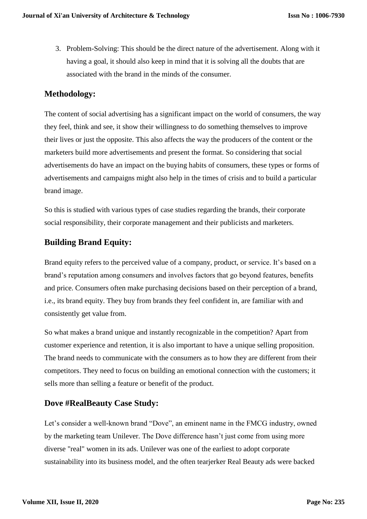3. Problem-Solving: This should be the direct nature of the advertisement. Along with it having a goal, it should also keep in mind that it is solving all the doubts that are associated with the brand in the minds of the consumer.

# **Methodology:**

The content of social advertising has a significant impact on the world of consumers, the way they feel, think and see, it show their willingness to do something themselves to improve their lives or just the opposite. This also affects the way the producers of the content or the marketers build more advertisements and present the format. So considering that social advertisements do have an impact on the buying habits of consumers, these types or forms of advertisements and campaigns might also help in the times of crisis and to build a particular brand image.

So this is studied with various types of case studies regarding the brands, their corporate social responsibility, their corporate management and their publicists and marketers.

# **Building Brand Equity:**

Brand equity refers to the perceived value of a company, product, or service. It's based on a brand's reputation among consumers and involves factors that go beyond features, benefits and price. Consumers often make purchasing decisions based on their perception of a brand, i.e., its brand equity. They buy from brands they feel confident in, are familiar with and consistently get value from.

So what makes a brand unique and instantly recognizable in the competition? Apart from customer experience and retention, it is also important to have a unique selling proposition. The brand needs to communicate with the consumers as to how they are different from their competitors. They need to focus on building an emotional connection with the customers; it sells more than selling a feature or benefit of the product.

# **Dove #RealBeauty Case Study:**

Let's consider a well-known brand "Dove", an eminent name in the FMCG industry, owned by the marketing team Unilever. The Dove difference hasn't just come from using more diverse "real" women in its ads. Unilever was one of the earliest to adopt corporate sustainability into its business model, and the often tearjerker Real Beauty ads were backed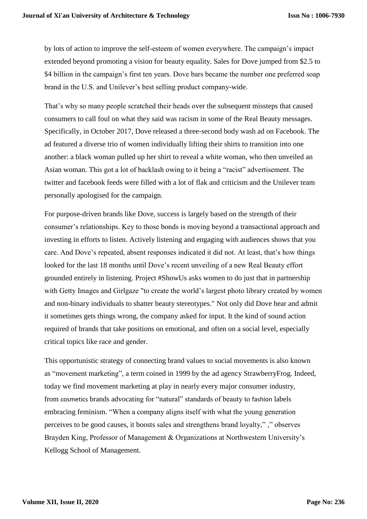by lots of action to improve the self-esteem of women everywhere. The campaign's impact extended beyond promoting a vision for beauty equality. Sales for Dove jumped from \$2.5 to \$4 billion in the campaign's first ten years. Dove bars became the number one preferred soap brand in the U.S. and Unilever's best selling product company-wide.

That's why so many people scratched their heads over the subsequent missteps that caused consumers to call foul on what they said was racism in some of the Real Beauty messages. Specifically, in October 2017, Dove released a three-second body wash ad on Facebook. The ad featured a diverse trio of women individually lifting their shirts to transition into one another: a black woman pulled up her shirt to reveal a white woman, who then unveiled an Asian woman. This got a lot of backlash owing to it being a "racist" advertisement. The twitter and facebook feeds were filled with a lot of flak and criticism and the Unilever team personally apologised for the campaign.

For purpose-driven brands like Dove, success is largely based on the strength of their consumer's relationships. Key to those bonds is moving beyond a transactional approach and investing in efforts to listen. Actively listening and engaging with audiences shows that you care. And Dove's repeated, absent responses indicated it did not. At least, that's how things looked for the last 18 months until Dove's recent unveiling of a new Real Beauty effort grounded entirely in listening. Project #ShowUs asks women to do just that in partnership with Getty Images and Girlgaze "to create the world's largest photo library created by women and non-binary individuals to shatter beauty stereotypes." Not only did Dove hear and admit it sometimes gets things wrong, the company asked for input. It the kind of sound action required of brands that take positions on emotional, and often on a social level, especially critical topics like race and gender.

This opportunistic strategy of connecting brand values to social movements is also known as ["movement marketing",](https://en.wikipedia.org/wiki/Movement_marketing) a term coined in 1999 by the ad agency StrawberryFrog. Indeed, today we find movement marketing at play in nearly every major consumer industry, from [cosmetics](http://www.adweek.com/brand-marketing/dove-wants-women-define-beauty-themselves-new-campaign-172309/) brands advocating for "natural" standards of beauty to [fashion](http://www.slate.com/blogs/xx_factor/2017/02/17/feminism_is_the_latest_high_fashion_trend.html) labels embracing feminism. "When a company aligns itself with what the young generation perceives to be good causes, it boosts sales and strengthens brand loyalty," ," observes Brayden King, Professor of Management & Organizations at Northwestern University's Kellogg School of Management.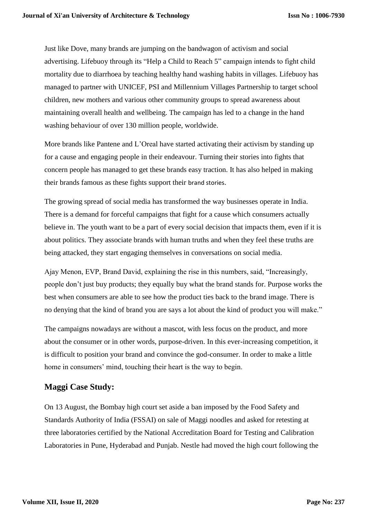Just like Dove, many brands are jumping on the bandwagon of activism and social advertising. Lifebuoy through its ["Help a Child to Reach 5"](https://www.youtube.com/user/helpachildreach5) campaign intends to fight child mortality due to diarrhoea by teaching healthy hand washing habits in villages. Lifebuoy has managed to partner with UNICEF, PSI and Millennium Villages Partnership to target school children, new mothers and various other community groups to spread awareness about maintaining overall health and wellbeing. The campaign has led to a change in the hand washing behaviour of over 130 million people, worldwide.

More brands like Pantene and L'Oreal have started activating their activism by standing up for a cause and engaging people in their endeavour. Turning their stories into fights that concern people has managed to get these brands easy traction. It has also helped in making their brands famous as these fights support their [brand stories](https://www.litmusbranding.com/brand-storytelling).

The growing spread of social media has transformed the way businesses operate in India. There is a demand for forceful campaigns that fight for a cause which consumers actually believe in. The youth want to be a part of every social decision that impacts them, even if it is about politics. They associate brands with human truths and when they feel these truths are being attacked, they start engaging themselves in conversations on social media.

Ajay Menon, EVP, Brand David, explaining the rise in this numbers, said, "Increasingly, people don't just buy products; they equally buy what the brand stands for. Purpose works the best when consumers are able to see how the product ties back to the brand image. There is no denying that the kind of brand you are says a lot about the kind of product you will make."

The campaigns nowadays are without a mascot, with less focus on the product, and more about the consumer or in other words, purpose-driven. In this ever-increasing competition, it is difficult to position your brand and convince the god-consumer. In order to make a little home in consumers' mind, touching their heart is the way to begin.

# **Maggi Case Study:**

On 13 August, the Bombay high court set aside a ban imposed by the Food Safety and Standards Authority of India (FSSAI) on sale of Maggi noodles and asked for retesting at three laboratories certified by the National Accreditation Board for Testing and Calibration Laboratories in Pune, Hyderabad and Punjab. Nestle had moved the high court following the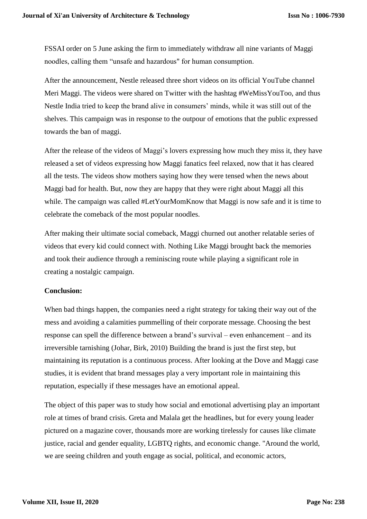FSSAI order on 5 June asking the firm to immediately withdraw all nine variants of Maggi noodles, calling them "unsafe and hazardous" for human consumption.

After the announcement, Nestle released three short videos on its official YouTube channel Meri Maggi. The videos were shared on Twitter with the hashtag #WeMissYouToo, and thus Nestle India tried to keep the brand alive in consumers' minds, while it was still out of the shelves. This campaign was in response to the outpour of emotions that the public expressed towards the ban of maggi.

After the release of the videos of Maggi's lovers expressing how much they miss it, they have released a set of videos expressing how Maggi fanatics feel relaxed, now that it has cleared all the tests. The videos show mothers saying how they were tensed when the news about Maggi bad for health. But, now they are happy that they were right about Maggi all this while. The campaign was called #LetYourMomKnow that Maggi is now safe and it is time to celebrate the comeback of the most popular noodles.

After making their ultimate social comeback, Maggi churned out another relatable series of videos that every kid could connect with. Nothing Like Maggi brought back the memories and took their audience through a reminiscing route while playing a significant role in creating a nostalgic campaign.

#### **Conclusion:**

When bad things happen, the companies need a right strategy for taking their way out of the mess and avoiding a calamities pummelling of their corporate message. Choosing the best response can spell the difference between a brand's survival – even enhancement – and its irreversible tarnishing (Johar, Birk, 2010) Building the brand is just the first step, but maintaining its reputation is a continuous process. After looking at the Dove and Maggi case studies, it is evident that brand messages play a very important role in maintaining this reputation, especially if these messages have an emotional appeal.

The object of this paper was to study how social and emotional advertising play an important role at times of brand crisis. Greta and Malala get the headlines, but for every young leader pictured on a magazine cover, thousands more are working tirelessly for causes like climate justice, racial and gender equality, LGBTQ rights, and economic change. "Around the world, we are seeing children and youth engage as social, political, and economic actors,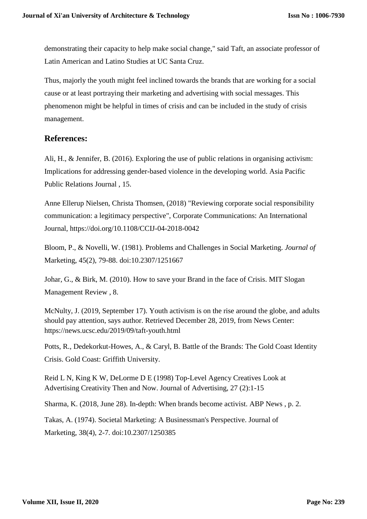demonstrating their capacity to help make social change," said Taft, an associate professor of Latin American and Latino Studies at UC Santa Cruz.

Thus, majorly the youth might feel inclined towards the brands that are working for a social cause or at least portraying their marketing and advertising with social messages. This phenomenon might be helpful in times of crisis and can be included in the study of crisis management.

### **References:**

Ali, H., & Jennifer, B. (2016). Exploring the use of public relations in organising activism: Implications for addressing gender-based violence in the developing world. Asia Pacific Public Relations Journal , 15.

Anne Ellerup Nielsen, Christa Thomsen, (2018) "Reviewing corporate social responsibility communication: a legitimacy perspective", Corporate Communications: An International Journal, https://doi.org/10.1108/CCIJ-04-2018-0042

Bloom, P., & Novelli, W. (1981). Problems and Challenges in Social Marketing. *Journal of*  Marketing, 45(2), 79-88. doi:10.2307/1251667

Johar, G., & Birk, M. (2010). How to save your Brand in the face of Crisis. MIT Slogan Management Review , 8.

McNulty, J. (2019, September 17). Youth activism is on the rise around the globe, and adults should pay attention, says author. Retrieved December 28, 2019, from News Center: https://news.ucsc.edu/2019/09/taft-youth.html

Potts, R., Dedekorkut-Howes, A., & Caryl, B. Battle of the Brands: The Gold Coast Identity Crisis. Gold Coast: Griffith University.

Reid L N, King K W, DeLorme D E (1998) Top-Level Agency Creatives Look at Advertising Creativity Then and Now. Journal of Advertising, 27 (2):1-15

Sharma, K. (2018, June 28). In-depth: When brands become activist. ABP News , p. 2.

Takas, A. (1974). Societal Marketing: A Businessman's Perspective. Journal of Marketing, 38(4), 2-7. doi:10.2307/1250385